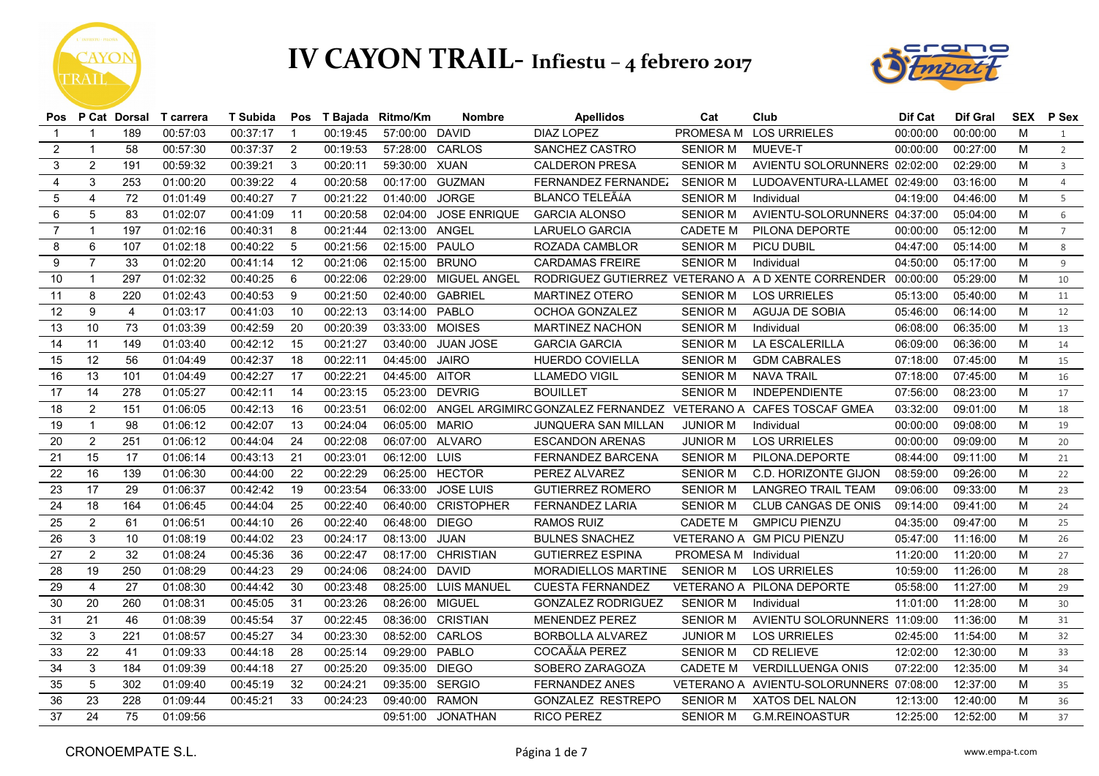



|                 |                |                | Pos P Cat Dorsal T carrera | T Subida |                |          | Pos T Bajada Ritmo/Km | <b>Nombre</b>        | <b>Apellidos</b>                                               | Cat                  | Club                                                        | Dif Cat  | Dif Gral | SEX | P Sex          |
|-----------------|----------------|----------------|----------------------------|----------|----------------|----------|-----------------------|----------------------|----------------------------------------------------------------|----------------------|-------------------------------------------------------------|----------|----------|-----|----------------|
| $\mathbf 1$     |                | 189            | 00:57:03                   | 00:37:17 | $\mathbf{1}$   | 00:19:45 | 57:00:00 DAVID        |                      | <b>DIAZ LOPEZ</b>                                              |                      | PROMESA M LOS URRIELES                                      | 00:00:00 | 00:00:00 | M   | $\overline{1}$ |
| 2               | $\mathbf{1}$   | 58             | 00:57:30                   | 00:37:37 | 2              | 00:19:53 | 57:28:00 CARLOS       |                      | SANCHEZ CASTRO                                                 | <b>SENIOR M</b>      | MUEVE-T                                                     | 00:00:00 | 00:27:00 | M   | $\overline{2}$ |
| 3               | $\overline{2}$ | 191            | 00:59:32                   | 00:39:21 | 3              | 00:20:11 | 59:30:00 XUAN         |                      | <b>CALDERON PRESA</b>                                          | <b>SENIOR M</b>      | AVIENTU SOLORUNNERS 02:02:00                                |          | 02:29:00 | M   | $\overline{3}$ |
| $\overline{4}$  | 3              | 253            | 01:00:20                   | 00:39:22 | $\overline{4}$ | 00:20:58 | 00:17:00              | <b>GUZMAN</b>        | FERNANDEZ FERNANDEZ                                            | <b>SENIOR M</b>      | LUDOAVENTURA-LLAMEI 02:49:00                                |          | 03:16:00 | M   | $\overline{4}$ |
| 5               | 4              | 72             | 01:01:49                   | 00:40:27 | $\overline{7}$ | 00:21:22 | 01:40:00              | <b>JORGE</b>         | <b>BLANCO TELEÃLA</b>                                          | <b>SENIOR M</b>      | Individual                                                  | 04:19:00 | 04:46:00 | M   | $5^{\circ}$    |
| 6               | 5              | 83             | 01:02:07                   | 00:41:09 | 11             | 00:20:58 | 02:04:00              | <b>JOSE ENRIQUE</b>  | <b>GARCIA ALONSO</b>                                           | <b>SENIOR M</b>      | AVIENTU-SOLORUNNERS 04:37:00                                |          | 05:04:00 | M   | 6              |
| $\overline{7}$  | $\mathbf{1}$   | 197            | 01:02:16                   | 00:40:31 | 8              | 00:21:44 | 02:13:00              | ANGEL                | <b>LARUELO GARCIA</b>                                          | <b>CADETE M</b>      | PILONA DEPORTE                                              | 00:00:00 | 05:12:00 | M   | $7^{\circ}$    |
| 8               | 6              | 107            | 01:02:18                   | 00:40:22 | 5              | 00:21:56 | 02:15:00              | <b>PAULO</b>         | ROZADA CAMBLOR                                                 | <b>SENIOR M</b>      | PICU DUBIL                                                  | 04:47:00 | 05:14:00 | M   | 8              |
| 9               | $\overline{7}$ | 33             | 01:02:20                   | 00:41:14 | 12             | 00:21:06 | 02:15:00 BRUNO        |                      | <b>CARDAMAS FREIRE</b>                                         | <b>SENIOR M</b>      | Individual                                                  | 04:50:00 | 05:17:00 | M   | $\overline{9}$ |
| 10              | $\mathbf{1}$   | 297            | 01:02:32                   | 00:40:25 | 6              | 00:22:06 | 02:29:00              | MIGUEL ANGEL         |                                                                |                      | RODRIGUEZ GUTIERREZ VETERANO A A D XENTE CORRENDER 00:00:00 |          | 05:29:00 | M   | 10             |
| 11              | 8              | 220            | 01:02:43                   | 00:40:53 | 9              | 00:21:50 | 02:40:00 GABRIEL      |                      | <b>MARTINEZ OTERO</b>                                          | <b>SENIOR M</b>      | <b>LOS URRIELES</b>                                         | 05:13:00 | 05:40:00 | M   | 11             |
| 12              | 9              | $\overline{4}$ | 01:03:17                   | 00:41:03 | 10             | 00:22:13 | 03:14:00 PABLO        |                      | OCHOA GONZALEZ                                                 | <b>SENIOR M</b>      | AGUJA DE SOBIA                                              | 05:46:00 | 06:14:00 | M   | 12             |
| 13              | 10             | 73             | 01:03:39                   | 00:42:59 | 20             | 00:20:39 | 03:33:00 MOISES       |                      | <b>MARTINEZ NACHON</b>                                         | <b>SENIOR M</b>      | Individual                                                  | 06:08:00 | 06:35:00 | M   | 13             |
| 14              | 11             | 149            | 01:03:40                   | 00:42:12 | 15             | 00:21:27 | 03:40:00              | <b>JUAN JOSE</b>     | <b>GARCIA GARCIA</b>                                           | <b>SENIOR M</b>      | LA ESCALERILLA                                              | 06:09:00 | 06:36:00 | M   | 14             |
| 15              | 12             | 56             | 01:04:49                   | 00:42:37 | 18             | 00:22:11 | 04:45:00 JAIRO        |                      | HUERDO COVIELLA                                                | <b>SENIOR M</b>      | <b>GDM CABRALES</b>                                         | 07:18:00 | 07:45:00 | M   | 15             |
| 16              | 13             | 101            | 01:04:49                   | 00:42:27 | 17             | 00:22:21 | 04:45:00 AITOR        |                      | <b>LLAMEDO VIGIL</b>                                           | <b>SENIOR M</b>      | NAVA TRAIL                                                  | 07:18:00 | 07:45:00 | M   | 16             |
| 17              | 14             | 278            | 01:05:27                   | 00:42:11 | 14             | 00:23:15 | 05:23:00 DEVRIG       |                      | <b>BOUILLET</b>                                                | <b>SENIOR M</b>      | <b>INDEPENDIENTE</b>                                        | 07:56:00 | 08:23:00 | м   | 17             |
| 18              | $\overline{2}$ | 151            | 01:06:05                   | 00:42:13 | 16             | 00:23:51 | 06:02:00              |                      | ANGEL ARGIMIRC GONZALEZ FERNANDEZ VETERANO A CAFES TOSCAF GMEA |                      |                                                             | 03:32:00 | 09:01:00 | M   | 18             |
| 19              | $\mathbf{1}$   | 98             | 01:06:12                   | 00:42:07 | 13             | 00:24:04 | 06:05:00 MARIO        |                      | JUNQUERA SAN MILLAN                                            | <b>JUNIOR M</b>      | Individual                                                  | 00:00:00 | 09:08:00 | M   | 19             |
| 20              | $\overline{2}$ | 251            | 01:06:12                   | 00:44:04 | 24             | 00:22:08 | 06:07:00 ALVARO       |                      | <b>ESCANDON ARENAS</b>                                         | <b>JUNIOR M</b>      | <b>LOS URRIELES</b>                                         | 00:00:00 | 09:09:00 | M   | 20             |
| 21              | 15             | 17             | 01:06:14                   | 00:43:13 | 21             | 00:23:01 | 06:12:00 LUIS         |                      | <b>FERNANDEZ BARCENA</b>                                       | <b>SENIOR M</b>      | PILONA.DEPORTE                                              | 08:44:00 | 09:11:00 | M   | 21             |
| 22              | 16             | 139            | 01:06:30                   | 00:44:00 | 22             | 00:22:29 | 06:25:00 HECTOR       |                      | PEREZ ALVAREZ                                                  | SENIOR M             | C.D. HORIZONTE GIJON                                        | 08:59:00 | 09:26:00 | M   | 22             |
| $\overline{23}$ | 17             | 29             | 01:06:37                   | 00:42:42 | 19             | 00:23:54 | 06:33:00              | <b>JOSE LUIS</b>     | <b>GUTIERREZ ROMERO</b>                                        | <b>SENIOR M</b>      | <b>LANGREO TRAIL TEAM</b>                                   | 09:06:00 | 09:33:00 | M   | 23             |
| 24              | 18             | 164            | 01:06:45                   | 00:44:04 | 25             | 00:22:40 | 06:40:00              | <b>CRISTOPHER</b>    | FERNANDEZ LARIA                                                | <b>SENIOR M</b>      | CLUB CANGAS DE ONIS                                         | 09:14:00 | 09:41:00 | M   | 24             |
| 25              | 2              | 61             | 01:06:51                   | 00:44:10 | 26             | 00:22:40 | 06:48:00 DIEGO        |                      | RAMOS RUIZ                                                     | <b>CADETE M</b>      | <b>GMPICU PIENZU</b>                                        | 04:35:00 | 09:47:00 | м   | 25             |
| 26              | 3              | 10             | 01:08:19                   | 00:44:02 | 23             | 00:24:17 | 08:13:00 JUAN         |                      | <b>BULNES SNACHEZ</b>                                          |                      | VETERANO A GM PICU PIENZU                                   | 05:47:00 | 11:16:00 | M   | 26             |
| 27              | $\overline{2}$ | 32             | 01:08:24                   | 00:45:36 | 36             | 00:22:47 |                       | 08:17:00 CHRISTIAN   | <b>GUTIERREZ ESPINA</b>                                        | PROMESA M Individual |                                                             | 11:20:00 | 11:20:00 | M   | 27             |
| 28              | 19             | 250            | 01:08:29                   | 00:44:23 | 29             | 00:24:06 | 08:24:00 DAVID        |                      | <b>MORADIELLOS MARTINE</b>                                     | <b>SENIOR M</b>      | <b>LOS URRIELES</b>                                         | 10:59:00 | 11:26:00 | M   | 28             |
| 29              | $\overline{4}$ | 27             | 01:08:30                   | 00:44:42 | 30             | 00:23:48 |                       | 08:25:00 LUIS MANUEL | <b>CUESTA FERNANDEZ</b>                                        |                      | VETERANO A PILONA DEPORTE                                   | 05:58:00 | 11:27:00 | M   | 29             |
| 30              | 20             | 260            | 01:08:31                   | 00:45:05 | 31             | 00:23:26 | 08:26:00 MIGUEL       |                      | <b>GONZALEZ RODRIGUEZ</b>                                      | <b>SENIOR M</b>      | Individual                                                  | 11:01:00 | 11:28:00 | М   | 30             |
| 31              | 21             | 46             | 01:08:39                   | 00:45:54 | 37             | 00:22:45 |                       | 08:36:00 CRISTIAN    | <b>MENENDEZ PEREZ</b>                                          | <b>SENIOR M</b>      | AVIENTU SOLORUNNERS 11:09:00                                |          | 11:36:00 | M   | 31             |
| 32              | 3              | 221            | 01:08:57                   | 00:45:27 | 34             | 00:23:30 | 08:52:00 CARLOS       |                      | BORBOLLA ALVAREZ                                               | <b>JUNIOR M</b>      | <b>LOS URRIELES</b>                                         | 02:45:00 | 11:54:00 | M   | 32             |
| 33              | 22             | 41             | 01:09:33                   | 00:44:18 | 28             | 00:25:14 | 09:29:00 PABLO        |                      | COCAÃIA PEREZ                                                  | <b>SENIOR M</b>      | <b>CD RELIEVE</b>                                           | 12:02:00 | 12:30:00 | м   | 33             |
| 34              | $\mathbf{3}$   | 184            | 01:09:39                   | 00:44:18 | 27             | 00:25:20 | 09:35:00 DIEGO        |                      | SOBERO ZARAGOZA                                                | <b>CADETE M</b>      | <b>VERDILLUENGA ONIS</b>                                    | 07:22:00 | 12:35:00 | M   | 34             |
| 35              | $\overline{5}$ | 302            | 01:09:40                   | 00:45:19 | 32             | 00:24:21 | 09:35:00 SERGIO       |                      | <b>FERNANDEZ ANES</b>                                          |                      | VETERANO A AVIENTU-SOLORUNNERS 07:08:00                     |          | 12:37:00 | M   | 35             |
| 36              | 23             | 228            | 01:09:44                   | 00:45:21 | 33             | 00:24:23 | 09:40:00              | <b>RAMON</b>         | GONZALEZ RESTREPO                                              | <b>SENIOR M</b>      | XATOS DEL NALON                                             | 12:13:00 | 12:40:00 | M   | 36             |
| 37              | 24             | 75             | 01:09:56                   |          |                |          |                       | 09:51:00 JONATHAN    | <b>RICO PEREZ</b>                                              |                      | SENIOR M G.M.REINOASTUR                                     | 12:25:00 | 12:52:00 | M   | 37             |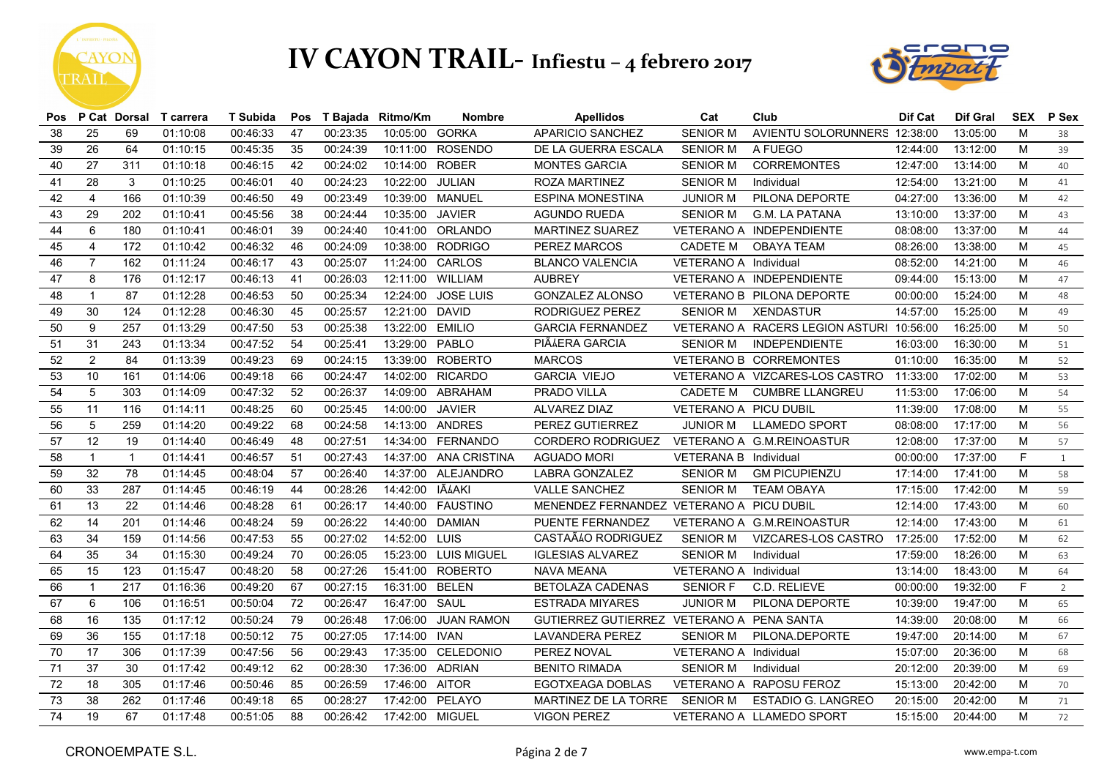



|    |                 |              | Pos P Cat Dorsal T carrera | T Subida |     |          | Pos T Bajada Ritmo/Km | <b>Nombre</b>         | <b>Apellidos</b>                          | Cat                          | Club                                     | Dif Cat  | Dif Gral | <b>SEX</b> | P Sex |
|----|-----------------|--------------|----------------------------|----------|-----|----------|-----------------------|-----------------------|-------------------------------------------|------------------------------|------------------------------------------|----------|----------|------------|-------|
| 38 | 25              | 69           | 01:10:08                   | 00:46:33 | 47  | 00:23:35 | 10:05:00 GORKA        |                       | APARICIO SANCHEZ                          | <b>SENIOR M</b>              | AVIENTU SOLORUNNERS 12:38:00             |          | 13:05:00 | M          | 38    |
| 39 | 26              | 64           | 01:10:15                   | 00:45:35 | 35  | 00:24:39 |                       | 10:11:00 ROSENDO      | DE LA GUERRA ESCALA                       | <b>SENIOR M</b>              | A FUEGO                                  | 12:44:00 | 13:12:00 | M          | 39    |
| 40 | 27              | 311          | 01:10:18                   | 00:46:15 | 42  | 00:24:02 | 10:14:00              | <b>ROBER</b>          | <b>MONTES GARCIA</b>                      | <b>SENIOR M</b>              | <b>CORREMONTES</b>                       | 12:47:00 | 13:14:00 | M          | 40    |
| 41 | 28              | 3            | 01:10:25                   | 00:46:01 | 40  | 00:24:23 | 10:22:00              | JULIAN                | ROZA MARTINEZ                             | <b>SENIOR M</b>              | Individual                               | 12:54:00 | 13:21:00 | M          | 41    |
| 42 | $\overline{4}$  | 166          | 01:10:39                   | 00:46:50 | 49  | 00:23:49 | 10:39:00              | <b>MANUEL</b>         | <b>ESPINA MONESTINA</b>                   | <b>JUNIOR M</b>              | PILONA DEPORTE                           | 04:27:00 | 13:36:00 | M          | 42    |
| 43 | 29              | 202          | 01:10:41                   | 00:45:56 | 38  | 00:24:44 | 10:35:00              | <b>JAVIER</b>         | <b>AGUNDO RUEDA</b>                       | <b>SENIOR M</b>              | G.M. LA PATANA                           | 13:10:00 | 13:37:00 | м          | 43    |
| 44 | 6               | 180          | 01:10:41                   | 00:46:01 | 39  | 00:24:40 | 10:41:00              | ORLANDO               | MARTINEZ SUAREZ                           |                              | VETERANO A INDEPENDIENTE                 | 08:08:00 | 13:37:00 | M          | 44    |
| 45 | $\overline{4}$  | 172          | 01:10:42                   | 00:46:32 | 46  | 00:24:09 | 10:38:00              | <b>RODRIGO</b>        | PEREZ MARCOS                              | <b>CADETE M</b>              | <b>OBAYA TEAM</b>                        | 08:26:00 | 13:38:00 | M          | 45    |
| 46 | $\overline{7}$  | 162          | 01:11:24                   | 00:46:17 | 43  | 00:25:07 | 11:24:00 CARLOS       |                       | <b>BLANCO VALENCIA</b>                    | VETERANO A Individual        |                                          | 08:52:00 | 14:21:00 | М          | 46    |
| 47 | 8               | 176          | 01:12:17                   | 00:46:13 | 41  | 00:26:03 | 12:11:00              | WILLIAM               | <b>AUBREY</b>                             |                              | VETERANO A INDEPENDIENTE                 | 09:44:00 | 15:13:00 | M          | 47    |
| 48 | $\mathbf{1}$    | 87           | 01:12:28                   | 00:46:53 | 50  | 00:25:34 | 12:24:00              | <b>JOSE LUIS</b>      | <b>GONZALEZ ALONSO</b>                    |                              | VETERANO B PILONA DEPORTE                | 00:00:00 | 15:24:00 | м          | 48    |
| 49 | 30              | 124          | 01:12:28                   | 00:46:30 | 45  | 00:25:57 | 12:21:00              | <b>DAVID</b>          | RODRIGUEZ PEREZ                           | <b>SENIOR M</b>              | <b>XENDASTUR</b>                         | 14:57:00 | 15:25:00 | м          | 49    |
| 50 | 9               | 257          | 01:13:29                   | 00:47:50 | 53  | 00:25:38 | 13:22:00              | <b>EMILIO</b>         | <b>GARCIA FERNANDEZ</b>                   |                              | VETERANO A RACERS LEGION ASTURI 10:56:00 |          | 16:25:00 | M          | 50    |
| 51 | 31              | 243          | 01:13:34                   | 00:47:52 | 54  | 00:25:41 | 13:29:00              | PABLO                 | PIÃ AERA GARCIA                           | <b>SENIOR M</b>              | INDEPENDIENTE                            | 16:03:00 | 16:30:00 | М          | 51    |
| 52 | $\overline{2}$  | 84           | 01:13:39                   | 00:49:23 | 69  | 00:24:15 | 13:39:00              | <b>ROBERTO</b>        | <b>MARCOS</b>                             |                              | VETERANO B CORREMONTES                   | 01:10:00 | 16:35:00 | м          | 52    |
| 53 | 10              | 161          | 01:14:06                   | 00:49:18 | 66  | 00:24:47 |                       | 14:02:00 RICARDO      | <b>GARCIA VIEJO</b>                       |                              | VETERANO A VIZCARES-LOS CASTRO 11:33:00  |          | 17:02:00 | м          | 53    |
| 54 | $5\phantom{.0}$ | 303          | 01:14:09                   | 00:47:32 | 52  | 00:26:37 | 14:09:00              | ABRAHAM               | PRADO VILLA                               | <b>CADETE M</b>              | <b>CUMBRE LLANGREU</b>                   | 11:53:00 | 17:06:00 | М          | 54    |
| 55 | 11              | 116          | 01:14:11                   | 00:48:25 | 60  | 00:25:45 | 14:00:00              | <b>JAVIER</b>         | ALVAREZ DIAZ                              | <b>VETERANO A PICU DUBIL</b> |                                          | 11:39:00 | 17:08:00 | м          | 55    |
| 56 | 5               | 259          | 01:14:20                   | 00:49:22 | 68  | 00:24:58 | 14:13:00 ANDRES       |                       | PEREZ GUTIERREZ                           | <b>JUNIOR M</b>              | LLAMEDO SPORT                            | 08:08:00 | 17:17:00 | м          | 56    |
| 57 | 12              | 19           | 01:14:40                   | 00:46:49 | 48  | 00:27:51 |                       | 14:34:00 FERNANDO     | CORDERO RODRIGUEZ                         |                              | VETERANO A G.M.REINOASTUR                | 12:08:00 | 17:37:00 | M          | 57    |
| 58 | $\mathbf{1}$    | $\mathbf{1}$ | 01:14:41                   | 00:46:57 | 51  | 00:27:43 |                       | 14:37:00 ANA CRISTINA | <b>AGUADO MORI</b>                        | VETERANA B Individual        |                                          | 00:00:00 | 17:37:00 | F          | 1     |
| 59 | 32              | 78           | 01:14:45                   | 00:48:04 | 57  | 00:26:40 | 14:37:00              | ALEJANDRO             | LABRA GONZALEZ                            | <b>SENIOR M</b>              | <b>GM PICUPIENZU</b>                     | 17:14:00 | 17:41:00 | M          | 58    |
| 60 | 33              | 287          | 01:14:45                   | 00:46:19 | 44  | 00:28:26 | 14:42:00 JÃ AAKI      |                       | <b>VALLE SANCHEZ</b>                      | <b>SENIOR M</b>              | <b>TEAM OBAYA</b>                        | 17:15:00 | 17:42:00 | M          | 59    |
| 61 | 13              | 22           | 01:14:46                   | 00:48:28 | -61 | 00:26:17 |                       | 14:40:00  FAUSTINO    | MENENDEZ FERNANDEZ VETERANO A PICU DUBIL  |                              |                                          | 12:14:00 | 17:43:00 | M          | 60    |
| 62 | 14              | 201          | 01:14:46                   | 00:48:24 | 59  | 00:26:22 | 14:40:00 DAMIAN       |                       | PUENTE FERNANDEZ                          |                              | VETERANO A G.M.REINOASTUR                | 12:14:00 | 17:43:00 | M          | 61    |
| 63 | 34              | 159          | 01:14:56                   | 00:47:53 | 55  | 00:27:02 | 14:52:00 LUIS         |                       | CASTAÃIO RODRIGUEZ                        | <b>SENIOR M</b>              | VIZCARES-LOS CASTRO 17:25:00             |          | 17:52:00 | м          | 62    |
| 64 | 35              | 34           | 01:15:30                   | 00:49:24 | 70  | 00:26:05 |                       | 15:23:00 LUIS MIGUEL  | <b>IGLESIAS ALVAREZ</b>                   | <b>SENIOR M</b>              | Individual                               | 17:59:00 | 18:26:00 | M          | 63    |
| 65 | 15              | 123          | 01:15:47                   | 00:48:20 | 58  | 00:27:26 |                       | 15:41:00 ROBERTO      | NAVA MEANA                                | VETERANO A Individual        |                                          | 13:14:00 | 18:43:00 | м          | 64    |
| 66 | $\mathbf{1}$    | 217          | 01:16:36                   | 00:49:20 | 67  | 00:27:15 | 16:31:00              | <b>BELEN</b>          | <b>BETOLAZA CADENAS</b>                   | <b>SENIOR F</b>              | C.D. RELIEVE                             | 00:00:00 | 19:32:00 | F          | 2     |
| 67 | 6               | 106          | 01:16:51                   | 00:50:04 | 72  | 00:26:47 | 16:47:00              | SAUL                  | <b>ESTRADA MIYARES</b>                    | <b>JUNIOR M</b>              | PILONA DEPORTE                           | 10:39:00 | 19:47:00 | M          | 65    |
| 68 | 16              | 135          | 01:17:12                   | 00:50:24 | 79  | 00:26:48 | 17:06:00              | <b>JUAN RAMON</b>     | GUTIERREZ GUTIERREZ VETERANO A PENA SANTA |                              |                                          | 14:39:00 | 20:08:00 | м          | 66    |
| 69 | 36              | 155          | 01:17:18                   | 00:50:12 | 75  | 00:27:05 | 17:14:00              | <b>IVAN</b>           | <b>LAVANDERA PEREZ</b>                    | <b>SENIOR M</b>              | PILONA.DEPORTE                           | 19:47:00 | 20:14:00 | м          | 67    |
| 70 | 17              | 306          | 01:17:39                   | 00:47:56 | 56  | 00:29:43 | 17:35:00              | CELEDONIO             | PEREZ NOVAL                               | VETERANO A Individual        |                                          | 15:07:00 | 20:36:00 | M          | 68    |
| 71 | 37              | 30           | 01:17:42                   | 00:49:12 | 62  | 00:28:30 | 17:36:00              | <b>ADRIAN</b>         | <b>BENITO RIMADA</b>                      | <b>SENIOR M</b>              | Individual                               | 20:12:00 | 20:39:00 | M          | 69    |
| 72 | 18              | 305          | 01:17:46                   | 00:50:46 | 85  | 00:26:59 | 17:46:00              | <b>AITOR</b>          | EGOTXEAGA DOBLAS                          |                              | VETERANO A RAPOSU FEROZ                  | 15:13:00 | 20:42:00 | М          | 70    |
| 73 | 38              | 262          | 01:17:46                   | 00:49:18 | 65  | 00:28:27 | 17:42:00              | PELAYO                | MARTINEZ DE LA TORRE                      | <b>SENIOR M</b>              | ESTADIO G. LANGREO                       | 20:15:00 | 20:42:00 | M          | 71    |
| 74 | 19              | 67           | 01:17:48                   | 00:51:05 | 88  | 00:26:42 | 17:42:00 MIGUEL       |                       | <b>VIGON PEREZ</b>                        |                              | VETERANO A LLAMEDO SPORT                 | 15:15:00 | 20:44:00 | M          | 72    |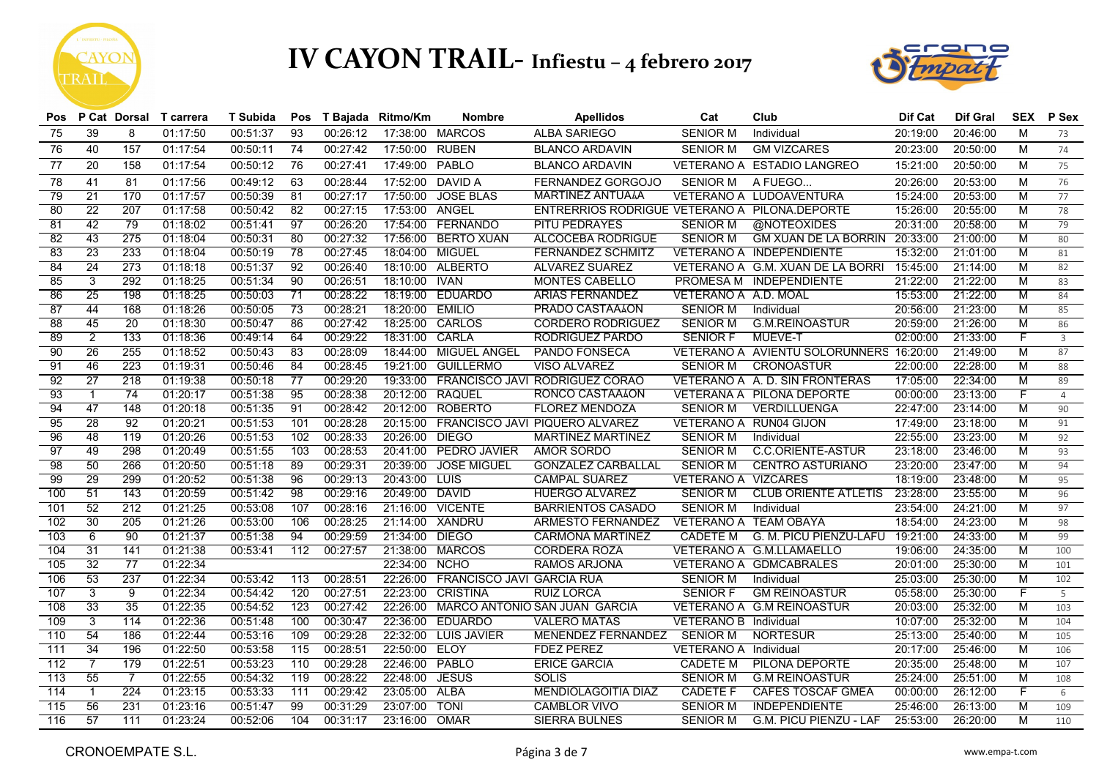



| <b>Pos</b> |                 |                 | P Cat Dorsal T carrera | <b>T</b> Subida | Pos             |          | T Bajada Ritmo/Km | <b>Nombre</b>                    | <b>Apellidos</b>                              | Cat                          | Club                                    | Dif Cat  | <b>Dif Gral</b> | <b>SEX</b>     | P Sex          |
|------------|-----------------|-----------------|------------------------|-----------------|-----------------|----------|-------------------|----------------------------------|-----------------------------------------------|------------------------------|-----------------------------------------|----------|-----------------|----------------|----------------|
| 75         | 39              | 8               | 01:17:50               | 00:51:37        | 93              | 00:26:12 |                   | 17:38:00 MARCOS                  | <b>ALBA SARIEGO</b>                           | <b>SENIOR M</b>              | Individual                              | 20:19:00 | 20:46:00        | M              | 73             |
| 76         | 40              | 157             | 01:17:54               | 00:50:11        | 74              | 00:27:42 | 17:50:00          | <b>RUBEN</b>                     | <b>BLANCO ARDAVIN</b>                         | <b>SENIOR M</b>              | <b>GM VIZCARES</b>                      | 20:23:00 | 20:50:00        | M              | 74             |
| 77         | 20              | 158             | 01:17:54               | 00:50:12        | 76              | 00:27:41 | 17:49:00          | PABLO                            | <b>BLANCO ARDAVIN</b>                         |                              | VETERANO A ESTADIO LANGREO              | 15:21:00 | 20:50:00        | M              | 75             |
| 78         | 41              | 81              | 01:17:56               | 00:49:12        | 63              | 00:28:44 | 17:52:00          | DAVID A                          | FERNANDEZ GORGOJO                             | <b>SENIOR M</b>              | A FUEGO                                 | 20:26:00 | 20:53:00        | M              | 76             |
| 79         | 21              | 170             | 01:17:57               | 00:50:39        | 81              | 00:27:17 | 17:50:00          | <b>JOSE BLAS</b>                 | <b>MARTINEZ ANTUALA</b>                       |                              | VETERANO A LUDOAVENTURA                 | 15:24:00 | 20:53:00        | M              | 77             |
| 80         | 22              | 207             | 01:17:58               | 00:50:42        | 82              | 00:27:15 | 17:53:00 ANGEL    |                                  | ENTRERRIOS RODRIGUE VETERANO A PILONA DEPORTE |                              |                                         | 15:26:00 | 20:55:00        | M              | 78             |
| 81         | 42              | 79              | 01:18:02               | 00:51:41        | 97              | 00:26:20 | 17:54:00          | <b>FERNANDO</b>                  | PITU PEDRAYES                                 | <b>SENIOR M</b>              | @NOTEOXIDES                             | 20:31:00 | 20:58:00        | M              | 79             |
| 82         | 43              | 275             | 01:18:04               | 00:50:31        | 80              | 00:27:32 | 17:56:00          | <b>BERTO XUAN</b>                | <b>ALCOCEBA RODRIGUE</b>                      | <b>SENIOR M</b>              | <b>GM XUAN DE LA BORRIN</b>             | 20:33:00 | 21:00:00        | M              | 80             |
| 83         | 23              | 233             | 01:18:04               | 00:50:19        | 78              | 00:27:45 | 18:04:00          | MIGUEL                           | <b>FERNANDEZ SCHMITZ</b>                      |                              | <b>VETERANO A INDEPENDIENTE</b>         | 15:32:00 | 21:01:00        | M              | 81             |
| 84         | 24              | 273             | 01:18:18               | 00:51:37        | 92              | 00:26:40 |                   | 18:10:00 ALBERTO                 | <b>ALVAREZ SUAREZ</b>                         |                              | VETERANO A G.M. XUAN DE LA BORRI        | 15:45:00 | 21:14:00        | M              | 82             |
| 85         | 3               | 292             | 01:18:25               | 00:51:34        | 90              | 00:26:51 | 18:10:00          | <b>IVAN</b>                      | <b>MONTES CABELLO</b>                         |                              | PROMESA M INDEPENDIENTE                 | 21:22:00 | 21:22:00        | M              | 83             |
| 86         | 25              | 198             | 01:18:25               | 00:50:03        | $\overline{71}$ | 00:28:22 | 18:19:00          | <b>EDUARDO</b>                   | <b>ARIAS FERNANDEZ</b>                        | VETERANO A A.D. MOAL         |                                         | 15:53:00 | 21:22:00        | M              | 84             |
| -87        | 44              | 168             | 01:18:26               | 00:50:05        | 73              | 00:28:21 | 18:20:00          | <b>EMILIO</b>                    | PRADO CASTAALON                               | <b>SENIOR M</b>              | Individual                              | 20:56:00 | 21:23:00        | M              | 85             |
| 88         | 45              | 20              | 01:18:30               | 00:50:47        | 86              | 00:27:42 | 18:25:00          | CARLOS                           | <b>CORDERO RODRIGUEZ</b>                      | <b>SENIOR M</b>              | <b>G.M.REINOASTUR</b>                   | 20:59:00 | 21:26:00        | M              | 86             |
| 89         | $\overline{2}$  | 133             | 01:18:36               | 00:49:14        | 64              | 00:29:22 | 18:31:00          | <b>CARLA</b>                     | <b>RODRIGUEZ PARDO</b>                        | <b>SENIOR F</b>              | <b>MUEVE-T</b>                          | 02:00:00 | 21:33:00        | F              | $\overline{3}$ |
| 90         | 26              | 255             | 01:18:52               | 00:50:43        | 83              | 00:28:09 | 18:44:00          | <b>MIGUEL ANGEL</b>              | PANDO FONSECA                                 |                              | VETERANO A AVIENTU SOLORUNNERS 16:20:00 |          | 21:49:00        | M              | 87             |
| 91         | 46              | 223             | 01:19:31               | 00:50:46        | -84             | 00:28:45 |                   | 19:21:00 GUILLERMO               | <b>VISO ALVAREZ</b>                           | <b>SENIOR M</b>              | <b>CRONOASTUR</b>                       | 22:00:00 | 22:28:00        | M              | 88             |
| 92         | $\overline{27}$ | 218             | 01:19:38               | 00:50:18        | $\overline{77}$ | 00:29:20 | 19:33:00          |                                  | FRANCISCO JAVI RODRIGUEZ CORAO                |                              | VETERANO A A. D. SIN FRONTERAS          | 17:05:00 | 22:34:00        | M              | 89             |
| 93         | $\overline{1}$  | $\overline{74}$ | 01:20:17               | 00:51:38        | 95              | 00:28:38 | 20:12:00 RAQUEL   |                                  | RONCO CASTAALON                               |                              | <b>VETERANA A PILONA DEPORTE</b>        | 00:00:00 | 23:13:00        | F              | $\overline{4}$ |
| 94         | 47              | 148             | 01:20:18               | 00:51:35        | 91              | 00:28:42 | 20:12:00          | <b>ROBERTO</b>                   | <b>FLOREZ MENDOZA</b>                         | <b>SENIOR M</b>              | <b>VERDILLUENGA</b>                     | 22:47:00 | 23:14:00        | M              | 90             |
| 95         | 28              | 92              | 01:20:21               | 00:51:53        | 101             | 00:28:28 | 20:15:00          |                                  | FRANCISCO JAVI PIQUERO ALVAREZ                |                              | <b>VETERANO A RUN04 GIJON</b>           | 17:49:00 | 23:18:00        | M              | 91             |
| 96         | 48              | 119             | 01:20:26               | 00:51:53        | 102             | 00:28:33 | 20:26:00 DIEGO    |                                  | <b>MARTINEZ MARTINEZ</b>                      | <b>SENIOR M</b>              | Individual                              | 22:55:00 | 23:23:00        | M              | 92             |
| 97         | 49              | 298             | 01:20:49               | 00:51:55        | 103             | 00:28:53 | 20:41:00          | <b>PEDRO JAVIER</b>              | <b>AMOR SORDO</b>                             | <b>SENIOR M</b>              | C.C.ORIENTE-ASTUR                       | 23:18:00 | 23:46:00        | м              | 93             |
| 98         | 50              | 266             | 01:20:50               | 00:51:18        | -89             | 00:29:31 | 20:39:00          | <b>JOSE MIGUEL</b>               | <b>GONZALEZ CARBALLAL</b>                     | <b>SENIOR M</b>              | <b>CENTRO ASTURIANO</b>                 | 23:20:00 | 23:47:00        | M              | 94             |
| 99         | 29              | 299             | 01:20:52               | 00:51:38        | 96              | 00:29:13 | 20:43:00          | <b>LUIS</b>                      | <b>CAMPAL SUAREZ</b>                          | <b>VETERANO A VIZCARES</b>   |                                         | 18:19:00 | 23:48:00        | M              | 95             |
| 100        | 51              | 143             | 01:20:59               | 00:51:42        | $\overline{98}$ | 00:29:16 | 20:49:00 DAVID    |                                  | <b>HUERGO ALVAREZ</b>                         | <b>SENIOR M</b>              | <b>CLUB ORIENTE ATLETIS</b>             | 23:28:00 | 23:55:00        | M              | 96             |
| 101        | 52              | 212             | 01:21:25               | 00:53:08        | 107             | 00:28:16 |                   | 21:16:00 VICENTE                 | <b>BARRIENTOS CASADO</b>                      | <b>SENIOR M</b>              | Individual                              | 23:54:00 | 24:21:00        | M              | 97             |
| 102        | 30              | 205             | 01:21:26               | 00:53:00        | 106             | 00:28:25 | 21:14:00          | <b>XANDRU</b>                    | <b>ARMESTO FERNANDEZ</b>                      |                              | <b>VETERANO A TEAM OBAYA</b>            | 18:54:00 | 24:23:00        | $\overline{M}$ | 98             |
| 103        | 6               | 90              | 01:21:37               | 00:51:38        | 94              | 00:29:59 | 21:34:00 DIEGO    |                                  | <b>CARMONA MARTINEZ</b>                       | <b>CADETE M</b>              | <b>G. M. PICU PIENZU-LAFU</b>           | 19:21:00 | 24:33:00        | M              | 99             |
| 104        | 31              | 141             | 01:21:38               | 00:53:41        | 112             | 00:27:57 | 21:38:00          | <b>MARCOS</b>                    | <b>CORDERA ROZA</b>                           |                              | VETERANO A G.M.LLAMAELLO                | 19:06:00 | 24:35:00        | M              | 100            |
| 105        | 32              | 77              | 01:22:34               |                 |                 |          | 22:34:00 NCHO     |                                  | <b>RAMOS ARJONA</b>                           |                              | VETERANO A GDMCABRALES                  | 20:01:00 | 25:30:00        | $\overline{M}$ | 101            |
| 106        | 53              | 237             | 01:22:34               | 00:53:42        | 113             | 00:28:51 | 22:26:00          | <b>FRANCISCO JAVI GARCIA RUA</b> |                                               | <b>SENIOR M</b>              | Individual                              | 25:03:00 | 25:30:00        | $\overline{M}$ | 102            |
| 107        | 3               | 9               | 01:22:34               | 00:54:42        | 120             | 00:27:51 | 22:23:00          | <b>CRISTINA</b>                  | <b>RUIZ LORCA</b>                             | <b>SENIOR F</b>              | <b>GM REINOASTUR</b>                    | 05:58:00 | 25:30:00        | F              | 5              |
| 108        | 33              | 35              | 01:22:35               | 00:54:52        | 123             | 00:27:42 | 22:26:00          |                                  | MARCO ANTONIO SAN JUAN GARCIA                 |                              | VETERANO A G.M REINOASTUR               | 20:03:00 | 25:32:00        | M              | 103            |
| 109        | $\overline{3}$  | 114             | 01:22:36               | 00:51:48        | 100             | 00:30:47 | 22:36:00          | <b>EDUARDO</b>                   | <b>VALERO MATAS</b>                           | <b>VETERANO B</b> Individual |                                         | 10:07:00 | 25:32:00        | $\overline{M}$ | 104            |
| 110        | 54              | 186             | 01:22:44               | 00:53:16        | 109             | 00:29:28 | 22:32:00          | <b>LUIS JAVIER</b>               | MENENDEZ FERNANDEZ                            | <b>SENIOR M</b>              | <b>NORTESUR</b>                         | 25:13:00 | 25:40:00        | M              | 105            |
| 111        | 34              | 196             | 01:22:50               | 00:53:58        | 115             | 00:28:51 | 22:50:00          | <b>ELOY</b>                      | <b>FDEZ PEREZ</b>                             | VETERANO A Individual        |                                         | 20:17:00 | 25:46:00        | M              | 106            |
| 112        | $\overline{7}$  | 179             | 01:22:51               | 00:53:23        | 110             | 00:29:28 | 22:46:00          | PABLO                            | <b>ERICE GARCIA</b>                           | <b>CADETE M</b>              | PILONA DEPORTE                          | 20:35:00 | 25:48:00        | M              | 107            |
| 113        | 55              | $\overline{7}$  | 01:22:55               | 00:54:32        | 119             | 00:28:22 | 22:48:00          | <b>JESUS</b>                     | <b>SOLIS</b>                                  | <b>SENIOR M</b>              | <b>G.M REINOASTUR</b>                   | 25:24:00 | 25:51:00        | $\overline{M}$ | 108            |
| 114        | $\mathbf{1}$    | 224             | 01:23:15               | 00:53:33        | 111             | 00:29:42 | 23:05:00          | <b>ALBA</b>                      | MENDIOLAGOITIA DIAZ                           | <b>CADETE F</b>              | <b>CAFES TOSCAF GMEA</b>                | 00:00:00 | 26:12:00        | F              | 6              |
| 115        | 56              | 231             | 01:23:16               | 00:51:47        | 99              | 00:31:29 | 23:07:00          | <b>TONI</b>                      | <b>CAMBLOR VIVO</b>                           | <b>SENIOR M</b>              | <b>INDEPENDIENTE</b>                    | 25:46:00 | 26:13:00        | $\overline{M}$ | 109            |
| 116        | 57              | 111             | 01:23:24               | 00:52:06        | 104             | 00:31:17 | 23:16:00          | OMAR                             | <b>SIERRA BULNES</b>                          | <b>SENIOR M</b>              | G.M. PICU PIENZU - LAF                  | 25:53:00 | 26:20:00        | $\overline{M}$ | 110            |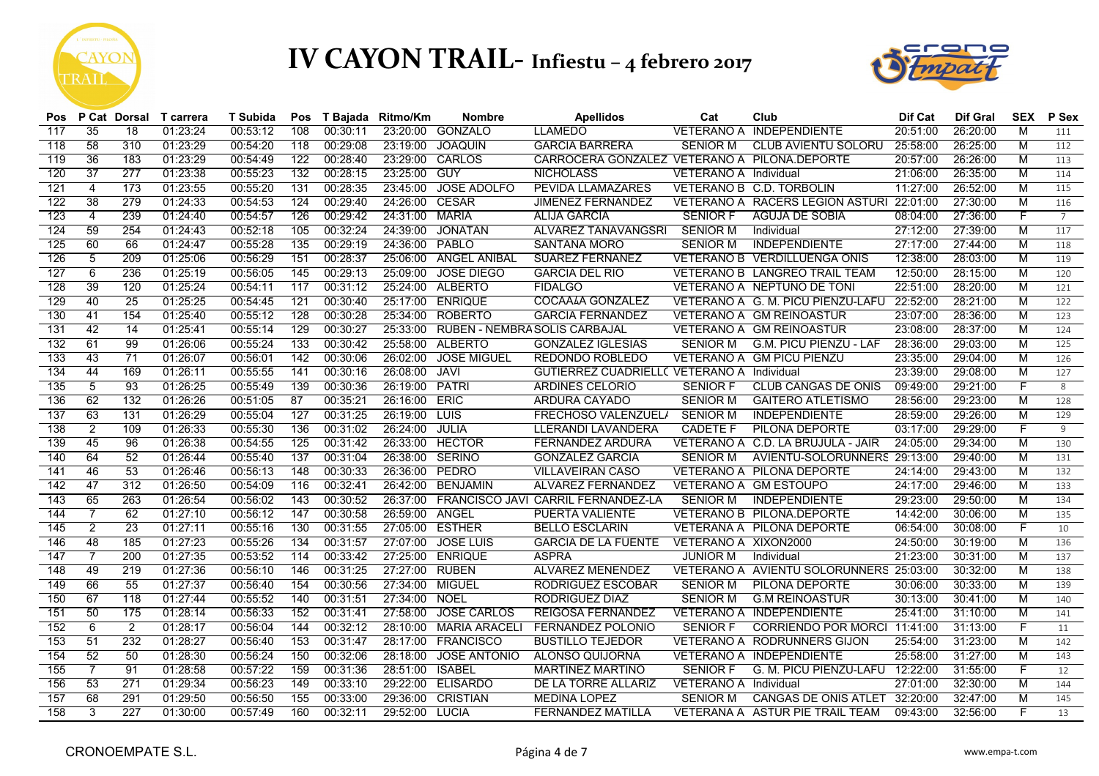



| Pos |                 | P Cat Dorsal    | T carrera | T Subida | Pos | T Bajada | Ritmo/Km | <b>Nombre</b>                 | <b>Apellidos</b>                                  | Cat                          | Club                                    | Dif Cat  | <b>Dif Gral</b> | <b>SEX</b>     | P Sex          |
|-----|-----------------|-----------------|-----------|----------|-----|----------|----------|-------------------------------|---------------------------------------------------|------------------------------|-----------------------------------------|----------|-----------------|----------------|----------------|
| 117 | 35              | 18              | 01:23:24  | 00:53:12 | 108 | 00:30:11 | 23:20:00 | <b>GONZALO</b>                | <b>LLAMEDO</b>                                    | VETERANO A                   | <b>INDEPENDIENTE</b>                    | 20:51:00 | 26:20:00        | M              | 111            |
| 118 | 58              | 310             | 01:23:29  | 00:54:20 | 118 | 00:29:08 | 23:19:00 | <b>JOAQUIN</b>                | <b>GARCIA BARRERA</b>                             | <b>SENIOR M</b>              | <b>CLUB AVIENTU SOLORU</b>              | 25:58:00 | 26:25:00        | M              | 112            |
| 119 | 36              | 183             | 01:23:29  | 00:54:49 | 122 | 00:28:40 | 23:29:00 | CARLOS                        | CARROCERA GONZALEZ VETERANO A PILONA.DEPORTE      |                              |                                         | 20:57:00 | 26:26:00        | M              | 113            |
| 120 | $\overline{37}$ | 277             | 01:23:38  | 00:55:23 | 132 | 00:28:15 | 23:25:00 | <b>GUY</b>                    | <b>NICHOLASS</b>                                  | <b>VETERANO A Individual</b> |                                         | 21:06:00 | 26:35:00        | M              | 114            |
| 121 | $\overline{4}$  | 173             | 01:23:55  | 00:55:20 | 131 | 00:28:35 | 23:45:00 | <b>JOSE ADOLFO</b>            | <b>PEVIDA LLAMAZARES</b>                          |                              | VETERANO B C.D. TORBOLIN                | 11:27:00 | 26:52:00        | $\overline{M}$ | 115            |
| 122 | 38              | 279             | 01:24:33  | 00:54:53 | 124 | 00:29:40 | 24:26:00 | <b>CESAR</b>                  | <b>JIMENEZ FERNANDEZ</b>                          |                              | VETERANO A RACERS LEGION ASTURI         | 22:01:00 | 27:30:00        | $\overline{M}$ | 116            |
| 123 | $\overline{4}$  | 239             | 01:24:40  | 00:54:57 | 126 | 00:29:42 | 24:31:00 | <b>MARIA</b>                  | <b>ALIJA GARCIA</b>                               | <b>SENIOR F</b>              | AGUJA DE SOBIA                          | 08:04:00 | 27:36:00        | F              | $\overline{7}$ |
| 124 | 59              | 254             | 01:24:43  | 00:52:18 | 105 | 00:32:24 | 24:39:00 | <b>JONATAN</b>                | <b>ALVAREZ TANAVANGSRI</b>                        | <b>SENIOR M</b>              | Individual                              | 27:12:00 | 27:39:00        | M              | 117            |
| 125 | 60              | 66              | 01:24:47  | 00:55:28 | 135 | 00:29:19 | 24:36:00 | PABLO                         | <b>SANTANA MORO</b>                               | <b>SENIOR M</b>              | <b>INDEPENDIENTE</b>                    | 27:17:00 | 27:44:00        | $\overline{M}$ | 118            |
| 126 | $\overline{5}$  | 209             | 01:25:06  | 00:56:29 | 151 | 00:28:37 | 25:06:00 | <b>ANGEL ANIBAL</b>           | <b>SUAREZ FERNANEZ</b>                            |                              | <b>VETERANO B VERDILLUENGA ONIS</b>     | 12:38:00 | 28:03:00        | M              | 119            |
| 127 | 6               | 236             | 01:25:19  | 00:56:05 | 145 | 00:29:13 | 25:09:00 | <b>JOSE DIEGO</b>             | <b>GARCIA DEL RIO</b>                             |                              | VETERANO B LANGREO TRAIL TEAM           | 12:50:00 | 28:15:00        | M              | 120            |
| 128 | 39              | 120             | 01:25:24  | 00:54:11 | 117 | 00:31:12 | 25:24:00 | <b>ALBERTO</b>                | <b>FIDALGO</b>                                    |                              | VETERANO A NEPTUNO DE TONI              | 22:51:00 | 28:20:00        | $\overline{M}$ | 121            |
| 129 | 40              | $\overline{25}$ | 01:25:25  | 00:54:45 | 121 | 00:30:40 | 25:17:00 | <b>ENRIQUE</b>                | COCAÃIA GONZALEZ                                  |                              | VETERANO A G. M. PICU PIENZU-LAFU       | 22:52:00 | 28:21:00        | M              | 122            |
| 130 | 41              | 154             | 01:25:40  | 00:55:12 | 128 | 00:30:28 | 25:34:00 | <b>ROBERTO</b>                | <b>GARCIA FERNANDEZ</b>                           |                              | <b>VETERANO A GM REINOASTUR</b>         | 23:07:00 | 28:36:00        | M              | 123            |
| 131 | 42              | 14              | 01:25:41  | 00:55:14 | 129 | 00:30:27 | 25:33:00 | RUBEN - NEMBRA SOLIS CARBAJAL |                                                   |                              | <b>VETERANO A GM REINOASTUR</b>         | 23:08:00 | 28:37:00        | M              | 124            |
| 132 | 61              | 99              | 01:26:06  | 00:55:24 | 133 | 00:30:42 | 25:58:00 | ALBERTO                       | <b>GONZALEZ IGLESIAS</b>                          | <b>SENIOR M</b>              | <b>G.M. PICU PIENZU - LAF</b>           | 28:36:00 | 29:03:00        | M              | 125            |
| 133 | 43              | 71              | 01:26:07  | 00:56:01 | 142 | 00:30:06 | 26:02:00 | <b>JOSE MIGUEL</b>            | REDONDO ROBLEDO                                   |                              | VETERANO A GM PICU PIENZU               | 23:35:00 | 29:04:00        | M              | 126            |
| 134 | 44              | 169             | 01:26:11  | 00:55:55 | 141 | 00:30:16 | 26:08:00 | <b>JAVI</b>                   | <b>GUTIERREZ CUADRIELL( VETERANO A Individual</b> |                              |                                         | 23:39:00 | 29:08:00        | M              | 127            |
| 135 | $\overline{5}$  | 93              | 01:26:25  | 00:55:49 | 139 | 00:30:36 | 26:19:00 | <b>PATRI</b>                  | <b>ARDINES CELORIO</b>                            | <b>SENIOR F</b>              | <b>CLUB CANGAS DE ONIS</b>              | 09:49:00 | 29:21:00        | F              | 8              |
| 136 | 62              | 132             | 01:26:26  | 00:51:05 | 87  | 00:35:21 | 26:16:00 | ERIC                          | <b>ARDURA CAYADO</b>                              | <b>SENIOR M</b>              | <b>GAITERO ATLETISMO</b>                | 28:56:00 | 29:23:00        | M              | 128            |
| 137 | 63              | 131             | 01:26:29  | 00:55:04 | 127 | 00:31:25 | 26:19:00 | <b>LUIS</b>                   | <b>FRECHOSO VALENZUEL/</b>                        | <b>SENIOR M</b>              | <b>INDEPENDIENTE</b>                    | 28:59:00 | 29:26:00        | M              | 129            |
| 138 | $\overline{2}$  | 109             | 01:26:33  | 00:55:30 | 136 | 00:31:02 | 26:24:00 | <b>JULIA</b>                  | <b>LLERANDI LAVANDERA</b>                         | <b>CADETE F</b>              | PILONA DEPORTE                          | 03:17:00 | 29:29:00        | F              | 9              |
| 139 | 45              | 96              | 01:26:38  | 00:54:55 | 125 | 00:31:42 | 26:33:00 | <b>HECTOR</b>                 | <b>FERNANDEZ ARDURA</b>                           |                              | VETERANO A C.D. LA BRUJULA - JAIR       | 24:05:00 | 29:34:00        | M              | 130            |
| 140 | 64              | 52              | 01:26:44  | 00:55:40 | 137 | 00:31:04 | 26:38:00 | <b>SERINO</b>                 | <b>GONZALEZ GARCIA</b>                            | <b>SENIOR M</b>              | AVIENTU-SOLORUNNERS 29:13:00            |          | 29:40:00        | M              | 131            |
| 141 | 46              | 53              | 01:26:46  | 00:56:13 | 148 | 00:30:33 | 26:36:00 | PEDRO                         | VILLAVEIRAN CASO                                  |                              | VETERANO A PILONA DEPORTE               | 24:14:00 | 29:43:00        | M              | 132            |
| 142 | 47              | 312             | 01:26:50  | 00:54:09 | 116 | 00:32:41 | 26:42:00 | <b>BENJAMIN</b>               | <b>ALVAREZ FERNANDEZ</b>                          |                              | VETERANO A GM ESTOUPO                   | 24:17:00 | 29:46:00        | M              | 133            |
| 143 | 65              | 263             | 01:26:54  | 00:56:02 | 143 | 00:30:52 | 26:37:00 |                               | FRANCISCO JAVI CARRIL FERNANDEZ-LA                | <b>SENIOR M</b>              | <b>INDEPENDIENTE</b>                    | 29:23:00 | 29:50:00        | M              | 134            |
| 144 | 7               | 62              | 01:27:10  | 00:56:12 | 147 | 00:30:58 | 26:59:00 | ANGEL                         | PUERTA VALIENTE                                   |                              | VETERANO B PILONA.DEPORTE               | 14:42:00 | 30:06:00        | M              | 135            |
| 145 | $\overline{2}$  | 23              | 01:27:11  | 00:55:16 | 130 | 00:31:55 | 27:05:00 | <b>ESTHER</b>                 | <b>BELLO ESCLARIN</b>                             |                              | <b>VETERANA A PILONA DEPORTE</b>        | 06:54:00 | 30:08:00        | F              | 10             |
| 146 | 48              | 185             | 01:27:23  | 00:55:26 | 134 | 00:31:57 | 27:07:00 | <b>JOSE LUIS</b>              | <b>GARCIA DE LA FUENTE</b>                        | VETERANO A XIXON2000         |                                         | 24:50:00 | 30:19:00        | M              | 136            |
| 147 | 7               | 200             | 01:27:35  | 00:53:52 | 114 | 00:33:42 | 27:25:00 | <b>ENRIQUE</b>                | <b>ASPRA</b>                                      | <b>JUNIOR M</b>              | Individual                              | 21:23:00 | 30:31:00        | M              | 137            |
| 148 | 49              | 219             | 01:27:36  | 00:56:10 | 146 | 00:31:25 | 27:27:00 | <b>RUBEN</b>                  | <b>ALVAREZ MENENDEZ</b>                           |                              | VETERANO A AVIENTU SOLORUNNERS 25:03:00 |          | 30:32:00        | M              | 138            |
| 149 | 66              | 55              | 01:27:37  | 00:56:40 | 154 | 00:30:56 | 27:34:00 | <b>MIGUEL</b>                 | <b>RODRIGUEZ ESCOBAR</b>                          | <b>SENIOR M</b>              | <b>PILONA DEPORTE</b>                   | 30:06:00 | 30:33:00        | M              | 139            |
| 150 | 67              | 118             | 01:27:44  | 00:55:52 | 140 | 00:31:51 | 27:34:00 | <b>NOEL</b>                   | <b>RODRIGUEZ DIAZ</b>                             | <b>SENIOR M</b>              | <b>G.M REINOASTUR</b>                   | 30:13:00 | 30:41:00        | M              | 140            |
| 151 | 50              | 175             | 01:28:14  | 00:56:33 | 152 | 00:31:41 | 27:58:00 | <b>JOSE CARLOS</b>            | <b>REIGOSA FERNANDEZ</b>                          |                              | VETERANO A INDEPENDIENTE                | 25:41:00 | 31:10:00        | M              | 141            |
| 152 | 6               | $\overline{2}$  | 01:28:17  | 00:56:04 | 144 | 00:32:12 | 28:10:00 | <b>MARIA ARACELI</b>          | <b>FERNANDEZ POLONIO</b>                          | <b>SENIOR F</b>              | CORRIENDO POR MORCI                     | 11:41:00 | 31:13:00        | F              | 11             |
| 153 | 51              | 232             | 01:28:27  | 00:56:40 | 153 | 00:31:47 | 28:17:00 | <b>FRANCISCO</b>              | <b>BUSTILLO TEJEDOR</b>                           |                              | <b>VETERANO A RODRUNNERS GIJON</b>      | 25:54:00 | 31:23:00        | M              | 142            |
| 154 | 52              | 50              | 01:28:30  | 00:56:24 | 150 | 00:32:06 | 28:18:00 | <b>JOSE ANTONIO</b>           | ALONSO QUIJORNA                                   |                              | <b>VETERANO A INDEPENDIENTE</b>         | 25:58:00 | 31:27:00        | M              | 143            |
| 155 |                 | 91              | 01:28:58  | 00:57:22 | 159 | 00:31:36 | 28:51:00 | <b>ISABEL</b>                 | <b>MARTINEZ MARTINO</b>                           | <b>SENIOR F</b>              | G. M. PICU PIENZU-LAFU                  | 12:22:00 | 31:55:00        |                | 12             |
| 156 | 53              | 271             | 01:29:34  | 00:56:23 | 149 | 00:33:10 | 29:22:00 | <b>ELISARDO</b>               | DE LA TORRE ALLARIZ                               | VETERANO A Individual        |                                         | 27:01:00 | 32:30:00        | M              | 144            |
| 157 | 68              | 291             | 01:29:50  | 00:56:50 | 155 | 00:33:00 | 29:36:00 | <b>CRISTIAN</b>               | <b>MEDINA LOPEZ</b>                               | <b>SENIOR M</b>              | <b>CANGAS DE ONIS ATLET</b>             | 32:20:00 | 32:47:00        | M              | 145            |
| 158 | 3               | 227             | 01:30:00  | 00:57:49 | 160 | 00:32:11 | 29:52:00 | LUCIA                         | <b>FERNANDEZ MATILLA</b>                          |                              | VETERANA A ASTUR PIE TRAIL TEAM         | 09:43:00 | 32:56:00        | F              | 13             |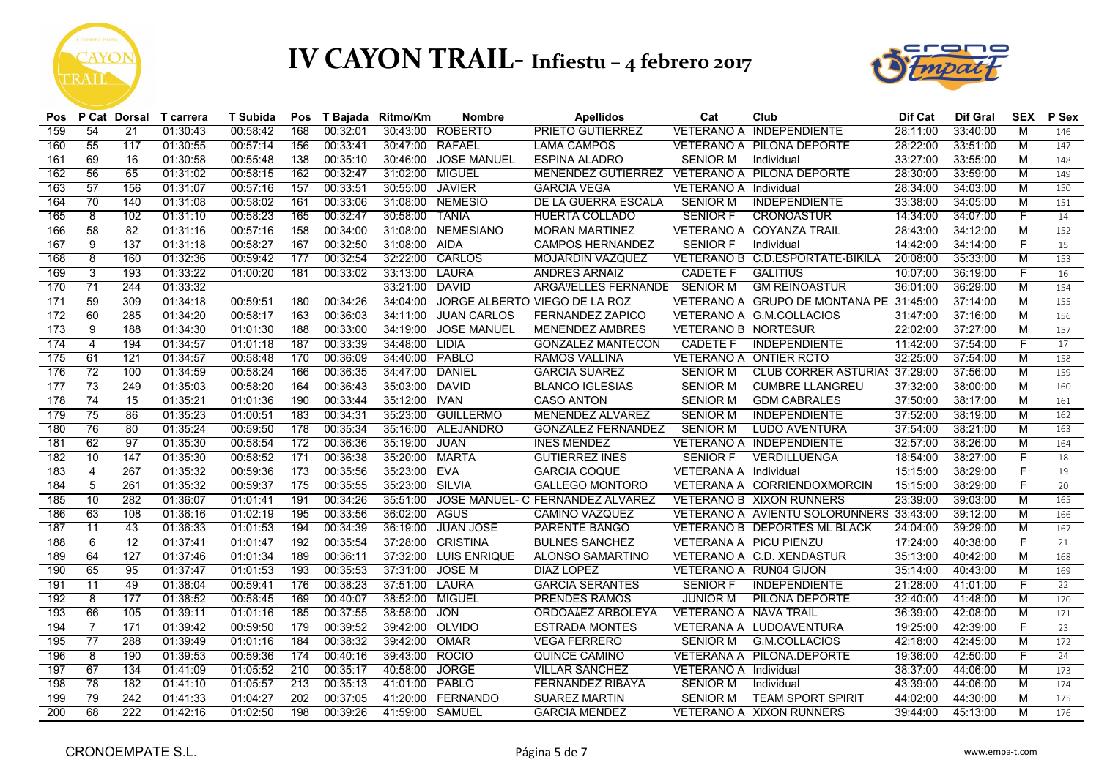



| Pos |                 |                 | P Cat Dorsal T carrera | <b>T</b> Subida | Pos |          | T Bajada Ritmo/Km | <b>Nombre</b>      | <b>Apellidos</b>                             | Cat                           | Club                                    | Dif Cat  | <b>Dif Gral</b> | <b>SEX</b>     | P Sex |
|-----|-----------------|-----------------|------------------------|-----------------|-----|----------|-------------------|--------------------|----------------------------------------------|-------------------------------|-----------------------------------------|----------|-----------------|----------------|-------|
| 159 | 54              | $\overline{21}$ | 01:30:43               | 00:58:42        | 168 | 00:32:01 | 30:43:00          | <b>ROBERTO</b>     | <b>PRIETO GUTIERREZ</b>                      |                               | <b>VETERANO A INDEPENDIENTE</b>         | 28:11:00 | 33:40:00        | M              | 146   |
| 160 | 55              | 117             | 01:30:55               | 00:57:14        | 156 | 00:33:41 | 30:47:00          | <b>RAFAEL</b>      | <b>LAMA CAMPOS</b>                           |                               | VETERANO A PILONA DEPORTE               | 28:22:00 | 33:51:00        | M              | 147   |
| 161 | 69              | 16              | 01:30:58               | 00:55:48        | 138 | 00:35:10 | 30:46:00          | <b>JOSE MANUEL</b> | <b>ESPINA ALADRO</b>                         | <b>SENIOR M</b>               | Individual                              | 33:27:00 | 33:55:00        | $\overline{M}$ | 148   |
| 162 | 56              | 65              | 01:31:02               | 00:58:15        | 162 | 00:32:47 | 31:02:00          | <b>MIGUEL</b>      | MENENDEZ GUTIERREZ VETERANO A PILONA DEPORTE |                               |                                         | 28:30:00 | 33:59:00        | м              | 149   |
| 163 | 57              | 156             | 01:31:07               | 00:57:16        | 157 | 00:33:51 | 30:55:00          | <b>JAVIER</b>      | <b>GARCIA VEGA</b>                           | VETERANO A Individual         |                                         | 28:34:00 | 34:03:00        | M              | 150   |
| 164 | 70              | 140             | 01:31:08               | 00:58:02        | 161 | 00:33:06 | 31:08:00          | <b>NEMESIO</b>     | DE LA GUERRA ESCALA                          | <b>SENIOR M</b>               | <b>INDEPENDIENTE</b>                    | 33:38:00 | 34:05:00        | M              | 151   |
| 165 | $\overline{8}$  | 102             | 01:31:10               | 00:58:23        | 165 | 00:32:47 | 30:58:00          | <b>TANIA</b>       | <b>HUERTA COLLADO</b>                        | <b>SENIOR F</b>               | <b>CRONOASTUR</b>                       | 14:34:00 | 34:07:00        | F              | 14    |
| 166 | 58              | $\overline{82}$ | 01:31:16               | 00:57:16        | 158 | 00:34:00 | 31:08:00          | <b>NEMESIANO</b>   | <b>MORAN MARTINEZ</b>                        |                               | <b>VETERANO A COYANZA TRAIL</b>         | 28:43:00 | 34:12:00        | M              | 152   |
| 167 | $\overline{9}$  | 137             | 01:31:18               | 00:58:27        | 167 | 00:32:50 | 31:08:00          | AIDA               | <b>CAMPOS HERNANDEZ</b>                      | <b>SENIOR F</b>               | Individual                              | 14:42:00 | 34:14:00        | F              | 15    |
| 168 | $\overline{8}$  | 160             | 01:32:36               | 00:59:42        | 177 | 00:32:54 | 32:22:00          | CARLOS             | <b>MOJARDIN VAZQUEZ</b>                      |                               | VETERANO B C.D.ESPORTATE-BIKILA         | 20:08:00 | 35:33:00        | M              | 153   |
| 169 | 3               | 193             | 01:33:22               | 01:00:20        | 181 | 00:33:02 | 33:13:00          | <b>LAURA</b>       | <b>ANDRES ARNAIZ</b>                         | <b>CADETE F</b>               | <b>GALITIUS</b>                         | 10:07:00 | 36:19:00        | F              | 16    |
| 170 | $\overline{71}$ | 244             | 01:33:32               |                 |     |          | 33:21:00          | <b>DAVID</b>       | <b>ARGÄTELLES FERNANDE</b>                   | <b>SENIOR M</b>               | <b>GM REINOASTUR</b>                    | 36:01:00 | 36:29:00        | $\overline{M}$ | 154   |
| 171 | 59              | 309             | 01:34:18               | 00:59:51        | 180 | 00:34:26 | 34:04:00          |                    | JORGE ALBERTO VIEGO DE LA ROZ                |                               | VETERANO A GRUPO DE MONTANA PE 31:45:00 |          | 37:14:00        | M              | 155   |
| 172 | 60              | 285             | 01:34:20               | 00:58:17        | 163 | 00:36:03 | 34:11:00          | <b>JUAN CARLOS</b> | <b>FERNANDEZ ZAPICO</b>                      |                               | VETERANO A G.M.COLLACIOS                | 31:47:00 | 37:16:00        | M              | 156   |
| 173 | $\overline{9}$  | 188             | 01:34:30               | 01:01:30        | 188 | 00:33:00 | 34:19:00          | <b>JOSE MANUEL</b> | <b>MENENDEZ AMBRES</b>                       | <b>VETERANO B NORTESUR</b>    |                                         | 22:02:00 | 37:27:00        | $\overline{M}$ | 157   |
| 174 | 4               | 194             | 01:34:57               | 01:01:18        | 187 | 00:33:39 | 34:48:00          | <b>LIDIA</b>       | <b>GONZALEZ MANTECON</b>                     | <b>CADETE F</b>               | <b>INDEPENDIENTE</b>                    | 11:42:00 | 37:54:00        | F              | 17    |
| 175 | 61              | 121             | 01:34:57               | 00:58:48        | 170 | 00:36:09 | 34:40:00          | PABLO              | <b>RAMOS VALLINA</b>                         |                               | <b>VETERANO A ONTIER RCTO</b>           | 32:25:00 | 37:54:00        | M              | 158   |
| 176 | 72              | 100             | 01:34:59               | 00:58:24        | 166 | 00:36:35 | 34:47:00          | <b>DANIEL</b>      | <b>GARCIA SUAREZ</b>                         | <b>SENIOR M</b>               | CLUB CORRER ASTURIA! 37:29:00           |          | 37:56:00        | M              | 159   |
| 177 | 73              | 249             | 01:35:03               | 00:58:20        | 164 | 00:36:43 | 35:03:00          | <b>DAVID</b>       | <b>BLANCO IGLESIAS</b>                       | <b>SENIOR M</b>               | <b>CUMBRE LLANGREU</b>                  | 37:32:00 | 38:00:00        | M              | 160   |
| 178 | 74              | 15              | 01:35:21               | 01:01:36        | 190 | 00:33:44 | 35:12:00          | <b>IVAN</b>        | <b>CASO ANTON</b>                            | <b>SENIOR M</b>               | <b>GDM CABRALES</b>                     | 37:50:00 | 38:17:00        | M              | 161   |
| 179 | 75              | 86              | 01:35:23               | 01:00:51        | 183 | 00:34:31 | 35:23:00          | <b>GUILLERMO</b>   | MENENDEZ ALVAREZ                             | <b>SENIOR M</b>               | <b>INDEPENDIENTE</b>                    | 37:52:00 | 38:19:00        | M              | 162   |
| 180 | 76              | 80              | 01:35:24               | 00:59:50        | 178 | 00:35:34 | 35:16:00          | ALEJANDRO          | <b>GONZALEZ FERNANDEZ</b>                    | <b>SENIOR M</b>               | <b>LUDO AVENTURA</b>                    | 37:54:00 | 38:21:00        | M              | 163   |
| 181 | 62              | 97              | 01:35:30               | 00:58:54        | 172 | 00:36:36 | 35:19:00          | <b>JUAN</b>        | <b>INES MENDEZ</b>                           |                               | <b>VETERANO A INDEPENDIENTE</b>         | 32:57:00 | 38:26:00        | M              | 164   |
| 182 | 10              | 147             | 01:35:30               | 00:58:52        | 171 | 00:36:38 | 35:20:00          | <b>MARTA</b>       | <b>GUTIERREZ INES</b>                        | <b>SENIOR F</b>               | VERDILLUENGA                            | 18:54:00 | 38:27:00        |                | 18    |
| 183 | 4               | 267             | 01:35:32               | 00:59:36        | 173 | 00:35:56 | 35:23:00          | <b>EVA</b>         | <b>GARCIA COQUE</b>                          | <b>VETERANA A</b> Individual  |                                         | 15:15:00 | 38:29:00        | F              | 19    |
| 184 | 5               | 261             | 01:35:32               | 00:59:37        | 175 | 00:35:55 | 35:23:00          | SILVIA             | <b>GALLEGO MONTORO</b>                       |                               | VETERANA A CORRIENDOXMORCIN             | 15:15:00 | 38:29:00        | F              | 20    |
| 185 | 10              | 282             | 01:36:07               | 01:01:41        | 191 | 00:34:26 | 35:51:00          |                    | JOSE MANUEL- C FERNANDEZ ALVAREZ             |                               | <b>VETERANO B XIXON RUNNERS</b>         | 23:39:00 | 39:03:00        | M              | 165   |
| 186 | 63              | 108             | 01:36:16               | 01:02:19        | 195 | 00:33:56 | 36:02:00          | AGUS               | <b>CAMINO VAZQUEZ</b>                        |                               | VETERANO A AVIENTU SOLORUNNERS 33:43:00 |          | 39:12:00        | M              | 166   |
| 187 | 11              | 43              | 01:36:33               | 01:01:53        | 194 | 00:34:39 | 36:19:00          | <b>JUAN JOSE</b>   | PARENTE BANGO                                |                               | <b>VETERANO B DEPORTES ML BLACK</b>     | 24:04:00 | 39:29:00        | M              | 167   |
| 188 | 6               | 12              | 01:37:41               | 01:01:47        | 192 | 00:35:54 | 37:28:00          | <b>CRISTINA</b>    | <b>BULNES SANCHEZ</b>                        | <b>VETERANA A PICU PIENZU</b> |                                         | 17:24:00 | 40:38:00        | F              | 21    |
| 189 | 64              | 127             | 01:37:46               | 01:01:34        | 189 | 00:36:11 | 37:32:00          | LUIS ENRIQUE       | <b>ALONSO SAMARTINO</b>                      |                               | VETERANO A C.D. XENDASTUR               | 35:13:00 | 40:42:00        | M              | 168   |
| 190 | 65              | 95              | 01:37:47               | 01:01:53        | 193 | 00:35:53 | 37:31:00          | <b>JOSE M</b>      | <b>DIAZ LOPEZ</b>                            | VETERANO A RUN04 GIJON        |                                         | 35:14:00 | 40:43:00        | M              | 169   |
| 191 | $\overline{11}$ | 49              | 01:38:04               | 00:59:41        | 176 | 00:38:23 | 37:51:00          | <b>LAURA</b>       | <b>GARCIA SERANTES</b>                       | <b>SENIOR F</b>               | <b>INDEPENDIENTE</b>                    | 21:28:00 | 41:01:00        | F              | 22    |
| 192 | $\overline{8}$  | 177             | 01:38:52               | 00:58:45        | 169 | 00:40:07 | 38:52:00          | <b>MIGUEL</b>      | <b>PRENDES RAMOS</b>                         | <b>JUNIOR M</b>               | PILONA DEPORTE                          | 32:40:00 | 41:48:00        | M              | 170   |
| 193 | 66              | 105             | 01:39:11               | 01:01:16        | 185 | 00:37:55 | 38:58:00          | <b>JON</b>         | ORDOALEZ ARBOLEYA                            | <b>VETERANO A NAVA TRAIL</b>  |                                         | 36:39:00 | 42:08:00        | M              | 171   |
| 194 | 7               | 171             | 01:39:42               | 00:59:50        | 179 | 00:39:52 | 39:42:00          | <b>OLVIDO</b>      | <b>ESTRADA MONTES</b>                        |                               | VETERANA A LUDOAVENTURA                 | 19:25:00 | 42:39:00        | F              | 23    |
| 195 | 77              | 288             | 01:39:49               | 01:01:16        | 184 | 00:38:32 | 39:42:00          | OMAR               | <b>VEGA FERRERO</b>                          | <b>SENIOR M</b>               | G.M.COLLACIOS                           | 42:18:00 | 42:45:00        | M              | 172   |
| 196 | $\overline{8}$  | 190             | 01:39:53               | 00:59:36        | 174 | 00:40:16 | 39:43:00          | <b>ROCIO</b>       | <b>QUINCE CAMINO</b>                         |                               | <b>VETERANA A PILONA DEPORTE</b>        | 19:36:00 | 42:50:00        | F              | 24    |
| 197 | 67              | 134             | 01:41:09               | 01:05:52        | 210 | 00:35:17 | 40:58:00          | <b>JORGE</b>       | <b>VILLAR SANCHEZ</b>                        | VETERANO A Individual         |                                         | 38:37:00 | 44:06:00        | M              | 173   |
| 198 | 78              | 182             | 01:41:10               | 01:05:57        | 213 | 00:35:13 | 41:01:00          | PABLO              | <b>FERNANDEZ RIBAYA</b>                      | <b>SENIOR M</b>               | Individual                              | 43:39:00 | 44:06:00        | M              | 174   |
| 199 | 79              | 242             | 01:41:33               | 01:04:27        | 202 | 00:37:05 | 41:20:00          | <b>FERNANDO</b>    | <b>SUAREZ MARTIN</b>                         | <b>SENIOR M</b>               | <b>TEAM SPORT SPIRIT</b>                | 44:02:00 | 44:30:00        | M              | 175   |
| 200 | 68              | 222             | 01:42:16               | 01:02:50        | 198 | 00:39:26 | 41:59:00 SAMUEL   |                    | <b>GARCIA MENDEZ</b>                         |                               | VETERANO A XIXON RUNNERS                | 39:44:00 | 45:13:00        | M              | 176   |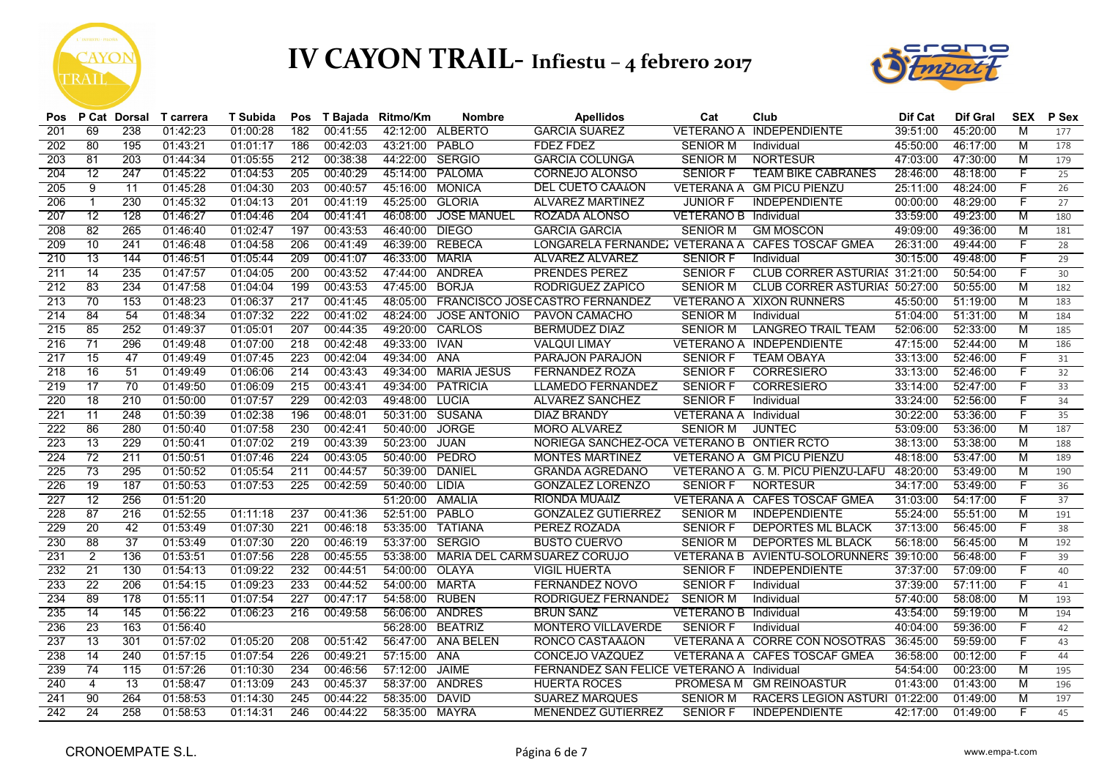



| Pos |                 | P Cat Dorsal     | T carrera | T Subida | Pos              |          | T Bajada Ritmo/Km | <b>Nombre</b>       | <b>Apellidos</b>                                 | Cat                          | Club                                    | Dif Cat  | <b>Dif Gral</b> | <b>SEX</b> | P Sex           |
|-----|-----------------|------------------|-----------|----------|------------------|----------|-------------------|---------------------|--------------------------------------------------|------------------------------|-----------------------------------------|----------|-----------------|------------|-----------------|
| 201 | 69              | 238              | 01:42:23  | 01:00:28 | 182              | 00:41:55 | 42:12:00          | <b>ALBERTO</b>      | <b>GARCIA SUAREZ</b>                             | <b>VETERANO A</b>            | <b>INDEPENDIENTE</b>                    | 39:51:00 | 45:20:00        | M          | 177             |
| 202 | 80              | 195              | 01:43:21  | 01:01:17 | 186              | 00:42:03 | 43:21:00 PABLO    |                     | <b>FDEZ FDEZ</b>                                 | <b>SENIOR M</b>              | Individual                              | 45:50:00 | 46:17:00        | M          | 178             |
| 203 | $\overline{81}$ | $\overline{203}$ | 01:44:34  | 01:05:55 | $\overline{212}$ | 00:38:38 | 44:22:00          | <b>SERGIO</b>       | <b>GARCIA COLUNGA</b>                            | <b>SENIOR M</b>              | <b>NORTESUR</b>                         | 47:03:00 | 47:30:00        | M          | 179             |
| 204 | 12              | 247              | 01:45:22  | 01:04:53 | 205              | 00:40:29 | 45:14:00          | <b>PALOMA</b>       | CORNEJO ALONSO                                   | <b>SENIOR F</b>              | <b>TEAM BIKE CABRANES</b>               | 28:46:00 | 48:18:00        | F          | 25              |
| 205 | $\overline{9}$  | $\overline{11}$  | 01:45:28  | 01:04:30 | 203              | 00:40:57 | 45:16:00          | <b>MONICA</b>       | DEL CUETO CAÃION                                 |                              | VETERANA A GM PICU PIENZU               | 25:11:00 | 48:24:00        | F          | 26              |
| 206 |                 | 230              | 01:45:32  | 01:04:13 | 201              | 00:41:19 | 45:25:00          | <b>GLORIA</b>       | <b>ALVAREZ MARTINEZ</b>                          | <b>JUNIOR F</b>              | <b>INDEPENDIENTE</b>                    | 00:00:00 | 48:29:00        | F          | 27              |
| 207 | 12              | 128              | 01:46:27  | 01:04:46 | 204              | 00:41:41 | 46:08:00          | <b>JOSE MANUEL</b>  | ROZADA ALONSO                                    | <b>VETERANO B</b> Individual |                                         | 33:59:00 | 49:23:00        | M          | 180             |
| 208 | 82              | 265              | 01:46:40  | 01:02:47 | 197              | 00:43:53 | 46:40:00          | <b>DIEGO</b>        | <b>GARCIA GARCIA</b>                             | <b>SENIOR M</b>              | <b>GM MOSCON</b>                        | 49:09:00 | 49:36:00        | M          | 181             |
| 209 | 10              | 241              | 01:46:48  | 01:04:58 | 206              | 00:41:49 | 46:39:00          | <b>REBECA</b>       | LONGARELA FERNANDE: VETERANA A CAFES TOSCAF GMEA |                              |                                         | 26:31:00 | 49:44:00        | F          | 28              |
| 210 | 13              | 144              | 01:46:51  | 01:05:44 | 209              | 00:41:07 | 46:33:00          | <b>MARIA</b>        | <b>ALVAREZ ALVAREZ</b>                           | <b>SENIOR F</b>              | Individual                              | 30:15:00 | 49:48:00        | F          | 29              |
| 211 | $\overline{14}$ | 235              | 01:47:57  | 01:04:05 | 200              | 00:43:52 | 47:44:00          | <b>ANDREA</b>       | <b>PRENDES PEREZ</b>                             | <b>SENIOR F</b>              | CLUB CORRER ASTURIAS 31:21:00           |          | 50:54:00        | F          | 30              |
| 212 | 83              | 234              | 01:47:58  | 01:04:04 | 199              | 00:43:53 | 47:45:00          | <b>BORJA</b>        | <b>RODRIGUEZ ZAPICO</b>                          | <b>SENIOR M</b>              | CLUB CORRER ASTURIA! 50:27:00           |          | 50:55:00        | M          | 182             |
| 213 | 70              | 153              | 01:48:23  | 01:06:37 | 217              | 00:41:45 | 48:05:00          |                     | FRANCISCO JOSE CASTRO FERNANDEZ                  |                              | VETERANO A XIXON RUNNERS                | 45:50:00 | 51:19:00        | M          | 183             |
| 214 | 84              | 54               | 01:48:34  | 01:07:32 | 222              | 00:41:02 | 48:24:00          | <b>JOSE ANTONIO</b> | PAVON CAMACHO                                    | <b>SENIOR M</b>              | Individual                              | 51:04:00 | 51:31:00        | M          | 184             |
| 215 | 85              | 252              | 01:49:37  | 01:05:01 | 207              | 00:44:35 | 49:20:00          | CARLOS              | <b>BERMUDEZ DIAZ</b>                             | <b>SENIOR M</b>              | <b>LANGREO TRAIL TEAM</b>               | 52:06:00 | 52:33:00        | M          | 185             |
| 216 | 71              | 296              | 01:49:48  | 01:07:00 | 218              | 00:42:48 | 49:33:00          | <b>IVAN</b>         | <b>VALQUI LIMAY</b>                              |                              | VETERANO A INDEPENDIENTE                | 47:15:00 | 52:44:00        | M          | 186             |
| 217 | 15              | 47               | 01:49:49  | 01:07:45 | 223              | 00:42:04 | 49:34:00          | ANA                 | <b>PARAJON PARAJON</b>                           | <b>SENIOR F</b>              | <b>TEAM OBAYA</b>                       | 33:13:00 | 52:46:00        | F          | 31              |
| 218 | 16              | 51               | 01:49:49  | 01:06:06 | 214              | 00:43:43 | 49:34:00          | <b>MARIA JESUS</b>  | <b>FERNANDEZ ROZA</b>                            | <b>SENIOR F</b>              | <b>CORRESIERO</b>                       | 33:13:00 | 52:46:00        | F          | 32              |
| 219 | 17              | 70               | 01:49:50  | 01:06:09 | 215              | 00:43:41 | 49:34:00          | <b>PATRICIA</b>     | <b>LLAMEDO FERNANDEZ</b>                         | <b>SENIOR F</b>              | <b>CORRESIERO</b>                       | 33:14:00 | 52:47:00        | F          | $\overline{33}$ |
| 220 | $\overline{18}$ | 210              | 01:50:00  | 01:07:57 | 229              | 00:42:03 | 49:48:00          | LUCIA               | <b>ALVAREZ SANCHEZ</b>                           | <b>SENIOR F</b>              | Individual                              | 33:24:00 | 52:56:00        |            | 34              |
| 221 | $\overline{11}$ | 248              | 01:50:39  | 01:02:38 | 196              | 00:48:01 | 50:31:00          | <b>SUSANA</b>       | <b>DIAZ BRANDY</b>                               | <b>VETERANA A</b> Individual |                                         | 30:22:00 | 53:36:00        |            | 35              |
| 222 | 86              | 280              | 01:50:40  | 01:07:58 | 230              | 00:42:41 | 50:40:00          | <b>JORGE</b>        | <b>MORO ALVAREZ</b>                              | <b>SENIOR M</b>              | <b>JUNTEC</b>                           | 53:09:00 | 53:36:00        | M          | 187             |
| 223 | 13              | 229              | 01:50:41  | 01:07:02 | 219              | 00:43:39 | 50:23:00          | <b>JUAN</b>         | NORIEGA SANCHEZ-OCA VETERANO B ONTIER RCTO       |                              |                                         | 38:13:00 | 53:38:00        | M          | 188             |
| 224 | $\overline{72}$ | 211              | 01:50:51  | 01:07:46 | 224              | 00:43:05 | 50:40:00          | PEDRO               | <b>MONTES MARTINEZ</b>                           |                              | VETERANO A GM PICU PIENZU               | 48:18:00 | 53:47:00        | M          | 189             |
| 225 | 73              | 295              | 01:50:52  | 01:05:54 | 211              | 00:44:57 | 50:39:00          | <b>DANIEL</b>       | <b>GRANDA AGREDANO</b>                           |                              | VETERANO A G. M. PICU PIENZU-LAFU       | 48:20:00 | 53:49:00        | M          | 190             |
| 226 | 19              | 187              | 01:50:53  | 01:07:53 | 225              | 00:42:59 | 50:40:00          | LIDIA               | <b>GONZALEZ LORENZO</b>                          | <b>SENIOR F</b>              | <b>NORTESUR</b>                         | 34:17:00 | 53:49:00        | F          | 36              |
| 227 | 12              | 256              | 01:51:20  |          |                  |          | 51:20:00          | AMALIA              | <b>RIONDA MUAAIZ</b>                             |                              | VETERANA A CAFES TOSCAF GMEA            | 31:03:00 | 54:17:00        | F          | 37              |
| 228 | 87              | 216              | 01:52:55  | 01:11:18 | 237              | 00:41:36 | 52:51:00          | PABLO               | <b>GONZALEZ GUTIERREZ</b>                        | <b>SENIOR M</b>              | <b>INDEPENDIENTE</b>                    | 55:24:00 | 55:51:00        | М          | 191             |
| 229 | 20              | 42               | 01:53:49  | 01:07:30 | 221              | 00:46:18 | 53:35:00          | <b>TATIANA</b>      | <b>PEREZ ROZADA</b>                              | <b>SENIOR F</b>              | <b>DEPORTES ML BLACK</b>                | 37:13:00 | 56:45:00        | F          | 38              |
| 230 | 88              | 37               | 01:53:49  | 01:07:30 | 220              | 00:46:19 | 53:37:00          | <b>SERGIO</b>       | <b>BUSTO CUERVO</b>                              | <b>SENIOR M</b>              | <b>DEPORTES ML BLACK</b>                | 56:18:00 | 56:45:00        | M          | 192             |
| 231 | $\overline{2}$  | 136              | 01:53:51  | 01:07:56 | 228              | 00:45:55 | 53:38:00          |                     | MARIA DEL CARM SUAREZ CORUJO                     |                              | VETERANA B AVIENTU-SOLORUNNERS 39:10:00 |          | 56:48:00        | F          | 39              |
| 232 | 21              | 130              | 01:54:13  | 01:09:22 | 232              | 00:44:51 | 54:00:00          | <b>OLAYA</b>        | <b>VIGIL HUERTA</b>                              | <b>SENIOR F</b>              | <b>INDEPENDIENTE</b>                    | 37:37:00 | 57:09:00        | F          | 40              |
| 233 | 22              | 206              | 01:54:15  | 01:09:23 | 233              | 00:44:52 | 54:00:00          | <b>MARTA</b>        | <b>FERNANDEZ NOVO</b>                            | <b>SENIOR F</b>              | Individual                              | 37:39:00 | 57:11:00        | F          | 41              |
| 234 | 89              | 178              | 01:55:11  | 01:07:54 | 227              | 00:47:17 | 54:58:00          | <b>RUBEN</b>        | RODRIGUEZ FERNANDEZ                              | <b>SENIOR M</b>              | Individual                              | 57:40:00 | 58:08:00        | M          | 193             |
| 235 | 14              | 145              | 01:56:22  | 01:06:23 | 216              | 00:49:58 | 56:06:00 ANDRES   |                     | <b>BRUN SANZ</b>                                 | VETERANO B Individual        |                                         | 43:54:00 | 59:19:00        | M          | 194             |
| 236 | 23              | 163              | 01:56:40  |          |                  |          | 56:28:00          | <b>BEATRIZ</b>      | <b>MONTERO VILLAVERDE</b>                        | <b>SENIOR F</b>              | Individual                              | 40:04:00 | 59:36:00        | F          | 42              |
| 237 | $\overline{13}$ | 301              | 01:57:02  | 01:05:20 | 208              | 00:51:42 | 56:47:00          | ANA BELEN           | RONCO CASTAALON                                  |                              | VETERANA A CORRE CON NOSOTRAS           | 36:45:00 | 59:59:00        | F          | 43              |
| 238 | 14              | 240              | 01:57:15  | 01:07:54 | 226              | 00:49:21 | 57:15:00          | <b>ANA</b>          | <b>CONCEJO VAZQUEZ</b>                           |                              | VETERANA A CAFES TOSCAF GMEA            | 36:58:00 | 00:12:00        | F          | 44              |
| 239 | 74              | 115              | 01:57:26  | 01:10:30 | 234              | 00:46:56 | 57:12:00          | <b>JAIME</b>        | FERNANDEZ SAN FELICE VETERANO A Individual       |                              |                                         | 54:54:00 | 00:23:00        | M          | 195             |
| 240 | $\overline{4}$  | 13               | 01:58:47  | 01:13:09 | 243              | 00:45:37 | 58:37:00          | ANDRES              | <b>HUERTA ROCES</b>                              |                              | PROMESA M GM REINOASTUR                 | 01:43:00 | 01:43:00        | M          | 196             |
| 241 | 90              | 264              | 01:58:53  | 01:14:30 | 245              | 00:44:22 | 58:35:00          | <b>DAVID</b>        | <b>SUAREZ MARQUES</b>                            | <b>SENIOR M</b>              | RACERS LEGION ASTURI 01:22:00           |          | 01:49:00        | M          | 197             |
| 242 | 24              | 258              | 01:58:53  | 01:14:31 | 246              | 00:44:22 | 58:35:00          | <b>MAYRA</b>        | <b>MENENDEZ GUTIERREZ</b>                        | <b>SENIOR F</b>              | <b>INDEPENDIENTE</b>                    | 42:17:00 | 01:49:00        | F          | 45              |